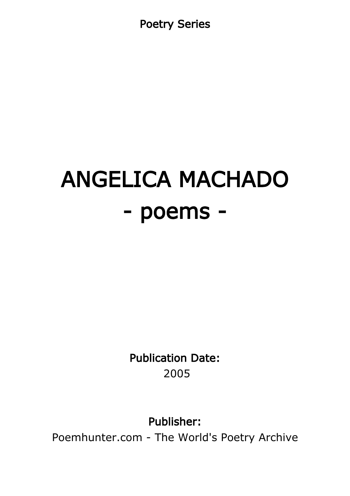Poetry Series

# ANGELICA MACHADO - poems -

Publication Date: 2005

Publisher:

Poemhunter.com - The World's Poetry Archive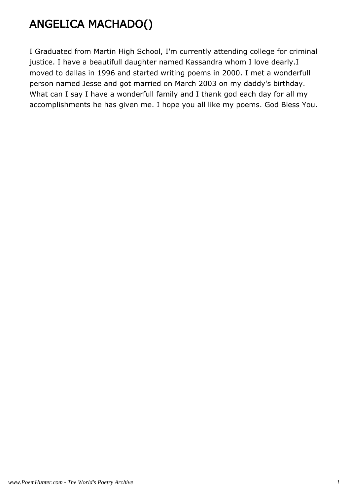# ANGELICA MACHADO()

I Graduated from Martin High School, I'm currently attending college for criminal justice. I have a beautifull daughter named Kassandra whom I love dearly.I moved to dallas in 1996 and started writing poems in 2000. I met a wonderfull person named Jesse and got married on March 2003 on my daddy's birthday. What can I say I have a wonderfull family and I thank god each day for all my accomplishments he has given me. I hope you all like my poems. God Bless You.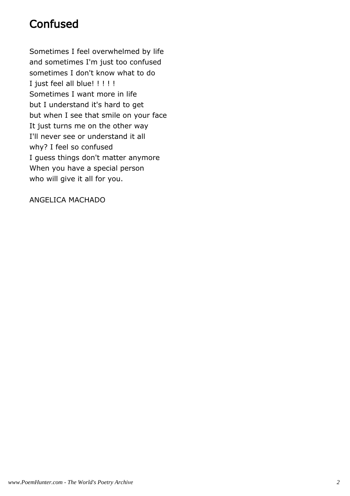## **Confused**

Sometimes I feel overwhelmed by life and sometimes I'm just too confused sometimes I don't know what to do I just feel all blue! ! ! ! ! Sometimes I want more in life but I understand it's hard to get but when I see that smile on your face It just turns me on the other way I'll never see or understand it all why? I feel so confused I guess things don't matter anymore When you have a special person who will give it all for you.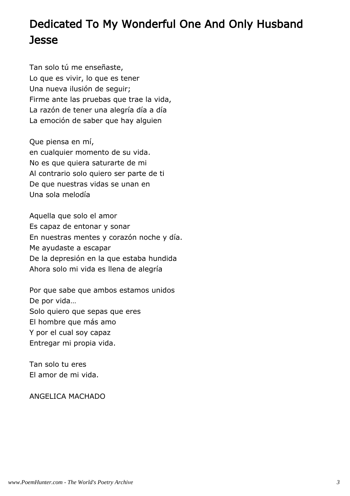# Dedicated To My Wonderful One And Only Husband **Jesse**

Tan solo tú me enseñaste, Lo que es vivir, lo que es tener Una nueva ilusión de seguir; Firme ante las pruebas que trae la vida, La razón de tener una alegría día a día La emoción de saber que hay alguien

Que piensa en mí, en cualquier momento de su vida. No es que quiera saturarte de mi Al contrario solo quiero ser parte de ti De que nuestras vidas se unan en Una sola melodía

Aquella que solo el amor Es capaz de entonar y sonar En nuestras mentes y corazón noche y día. Me ayudaste a escapar De la depresión en la que estaba hundida Ahora solo mi vida es llena de alegría

Por que sabe que ambos estamos unidos De por vida… Solo quiero que sepas que eres El hombre que más amo Y por el cual soy capaz Entregar mi propia vida.

Tan solo tu eres El amor de mi vida.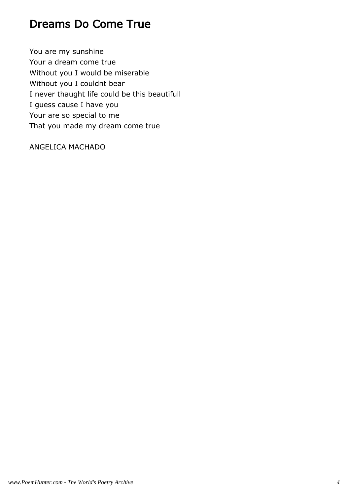#### Dreams Do Come True

You are my sunshine Your a dream come true Without you I would be miserable Without you I couldnt bear I never thaught life could be this beautifull I guess cause I have you Your are so special to me That you made my dream come true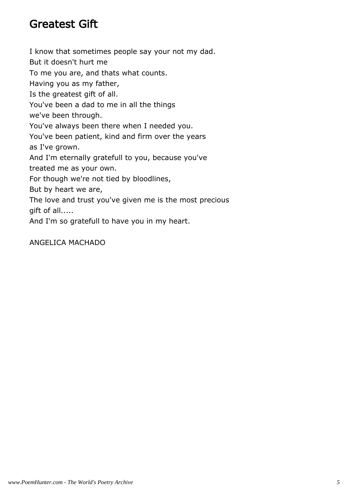#### Greatest Gift

I know that sometimes people say your not my dad. But it doesn't hurt me To me you are, and thats what counts. Having you as my father, Is the greatest gift of all. You've been a dad to me in all the things we've been through. You've always been there when I needed you. You've been patient, kind and firm over the years as I've grown. And I'm eternally gratefull to you, because you've treated me as your own. For though we're not tied by bloodlines, But by heart we are, The love and trust you've given me is the most precious gift of all.....

And I'm so gratefull to have you in my heart.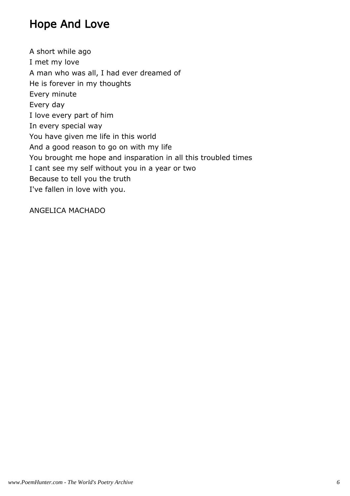#### Hope And Love

A short while ago I met my love A man who was all, I had ever dreamed of He is forever in my thoughts Every minute Every day I love every part of him In every special way You have given me life in this world And a good reason to go on with my life You brought me hope and insparation in all this troubled times I cant see my self without you in a year or two Because to tell you the truth I've fallen in love with you.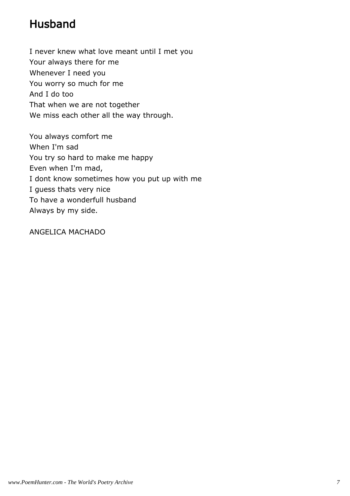# Husband

I never knew what love meant until I met you Your always there for me Whenever I need you You worry so much for me And I do too That when we are not together We miss each other all the way through.

You always comfort me When I'm sad You try so hard to make me happy Even when I'm mad, I dont know sometimes how you put up with me I guess thats very nice To have a wonderfull husband Always by my side.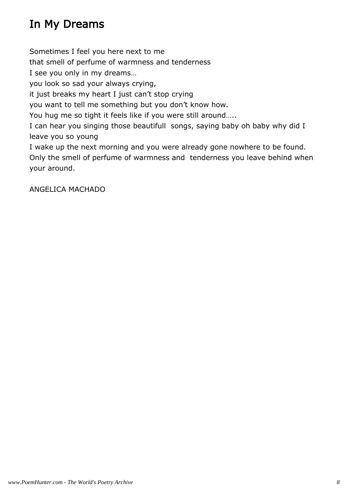# In My Dreams

Sometimes I feel you here next to me

that smell of perfume of warmness and tenderness

I see you only in my dreams…

you look so sad your always crying,

it just breaks my heart I just can't stop crying

you want to tell me something but you don't know how.

You hug me so tight it feels like if you were still around…..

I can hear you singing those beautifull songs, saying baby oh baby why did I leave you so young

I wake up the next morning and you were already gone nowhere to be found. Only the smell of perfume of warmness and tenderness you leave behind when your around.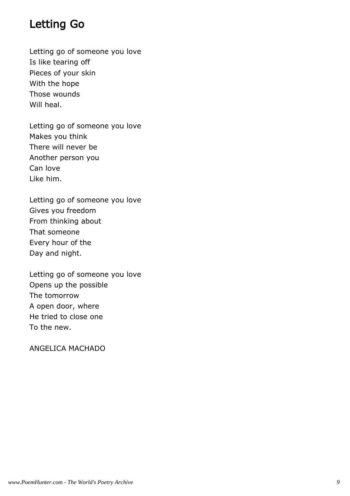#### Letting Go

Letting go of someone you love Is like tearing off Pieces of your skin With the hope Those wounds Will heal.

Letting go of someone you love Makes you think There will never be Another person you Can love Like him.

Letting go of someone you love Gives you freedom From thinking about That someone Every hour of the Day and night.

Letting go of someone you love Opens up the possible The tomorrow A open door, where He tried to close one To the new.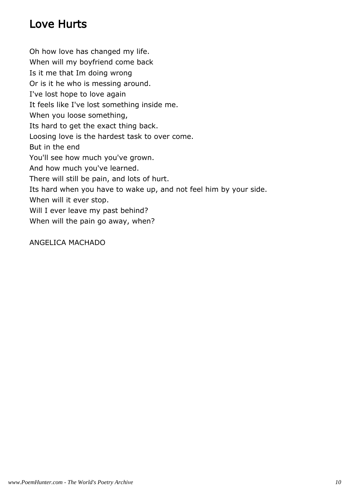# Love Hurts

Oh how love has changed my life. When will my boyfriend come back Is it me that Im doing wrong Or is it he who is messing around. I've lost hope to love again It feels like I've lost something inside me. When you loose something, Its hard to get the exact thing back. Loosing love is the hardest task to over come. But in the end You'll see how much you've grown. And how much you've learned. There will still be pain, and lots of hurt. Its hard when you have to wake up, and not feel him by your side. When will it ever stop. Will I ever leave my past behind? When will the pain go away, when?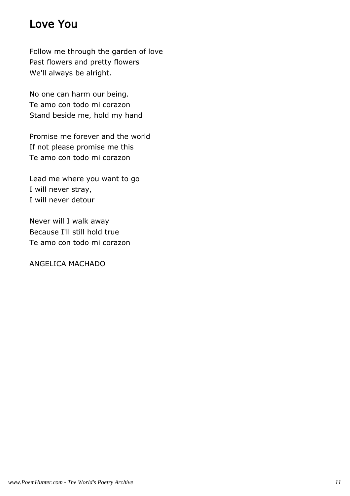#### Love You

Follow me through the garden of love Past flowers and pretty flowers We'll always be alright.

No one can harm our being. Te amo con todo mi corazon Stand beside me, hold my hand

Promise me forever and the world If not please promise me this Te amo con todo mi corazon

Lead me where you want to go I will never stray, I will never detour

Never will I walk away Because I'll still hold true Te amo con todo mi corazon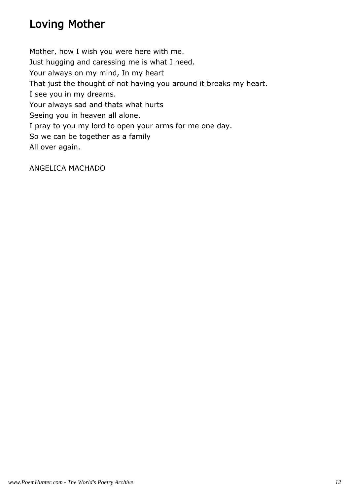# Loving Mother

Mother, how I wish you were here with me. Just hugging and caressing me is what I need. Your always on my mind, In my heart That just the thought of not having you around it breaks my heart. I see you in my dreams. Your always sad and thats what hurts Seeing you in heaven all alone. I pray to you my lord to open your arms for me one day. So we can be together as a family All over again.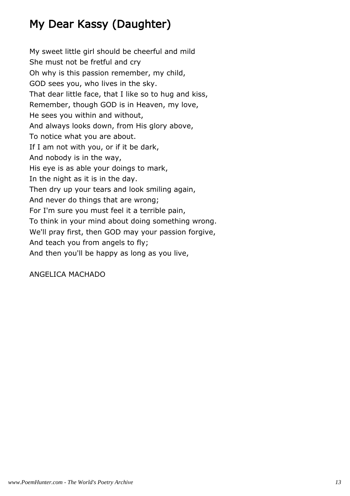# My Dear Kassy (Daughter)

My sweet little girl should be cheerful and mild She must not be fretful and cry Oh why is this passion remember, my child, GOD sees you, who lives in the sky. That dear little face, that I like so to hug and kiss, Remember, though GOD is in Heaven, my love, He sees you within and without, And always looks down, from His glory above, To notice what you are about. If I am not with you, or if it be dark, And nobody is in the way, His eye is as able your doings to mark, In the night as it is in the day. Then dry up your tears and look smiling again, And never do things that are wrong; For I'm sure you must feel it a terrible pain, To think in your mind about doing something wrong. We'll pray first, then GOD may your passion forgive, And teach you from angels to fly; And then you'll be happy as long as you live,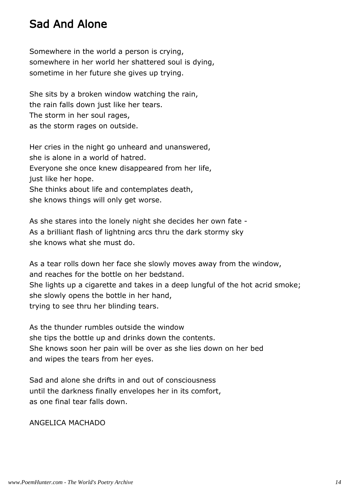#### Sad And Alone

Somewhere in the world a person is crying, somewhere in her world her shattered soul is dying, sometime in her future she gives up trying.

She sits by a broken window watching the rain, the rain falls down just like her tears. The storm in her soul rages, as the storm rages on outside.

Her cries in the night go unheard and unanswered, she is alone in a world of hatred. Everyone she once knew disappeared from her life, just like her hope. She thinks about life and contemplates death, she knows things will only get worse.

As she stares into the lonely night she decides her own fate - As a brilliant flash of lightning arcs thru the dark stormy sky she knows what she must do.

As a tear rolls down her face she slowly moves away from the window, and reaches for the bottle on her bedstand. She lights up a cigarette and takes in a deep lungful of the hot acrid smoke; she slowly opens the bottle in her hand, trying to see thru her blinding tears.

As the thunder rumbles outside the window she tips the bottle up and drinks down the contents. She knows soon her pain will be over as she lies down on her bed and wipes the tears from her eyes.

Sad and alone she drifts in and out of consciousness until the darkness finally envelopes her in its comfort, as one final tear falls down.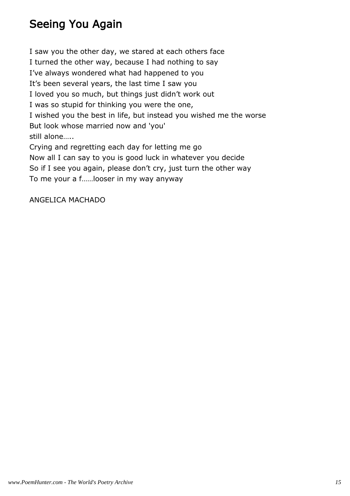## Seeing You Again

I saw you the other day, we stared at each others face I turned the other way, because I had nothing to say I've always wondered what had happened to you It's been several years, the last time I saw you I loved you so much, but things just didn't work out I was so stupid for thinking you were the one, I wished you the best in life, but instead you wished me the worse But look whose married now and 'you' still alone…..

Crying and regretting each day for letting me go Now all I can say to you is good luck in whatever you decide So if I see you again, please don't cry, just turn the other way To me your a f……looser in my way anyway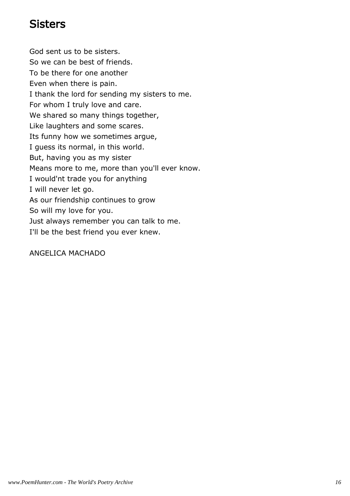#### **Sisters**

God sent us to be sisters. So we can be best of friends. To be there for one another Even when there is pain. I thank the lord for sending my sisters to me. For whom I truly love and care. We shared so many things together, Like laughters and some scares. Its funny how we sometimes argue, I guess its normal, in this world. But, having you as my sister Means more to me, more than you'll ever know. I would'nt trade you for anything I will never let go. As our friendship continues to grow So will my love for you. Just always remember you can talk to me. I'll be the best friend you ever knew.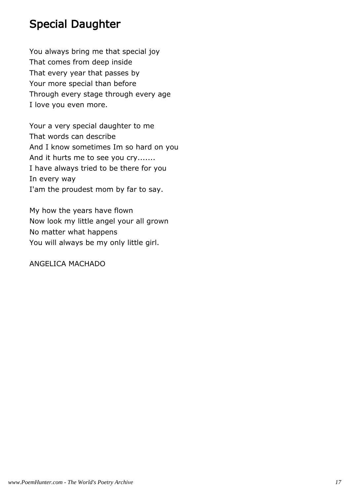#### Special Daughter

You always bring me that special joy That comes from deep inside That every year that passes by Your more special than before Through every stage through every age I love you even more.

Your a very special daughter to me That words can describe And I know sometimes Im so hard on you And it hurts me to see you cry....... I have always tried to be there for you In every way I'am the proudest mom by far to say.

My how the years have flown Now look my little angel your all grown No matter what happens You will always be my only little girl.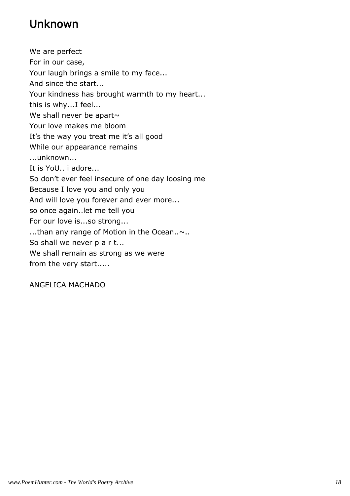# Unknown

We are perfect For in our case, Your laugh brings a smile to my face... And since the start... Your kindness has brought warmth to my heart... this is why...I feel... We shall never be apart $\sim$ Your love makes me bloom It's the way you treat me it's all good While our appearance remains ...unknown... It is YoU.. i adore... So don't ever feel insecure of one day loosing me Because I love you and only you And will love you forever and ever more... so once again..let me tell you For our love is...so strong... ...than any range of Motion in the Ocean..~.. So shall we never p a r t... We shall remain as strong as we were from the very start.....